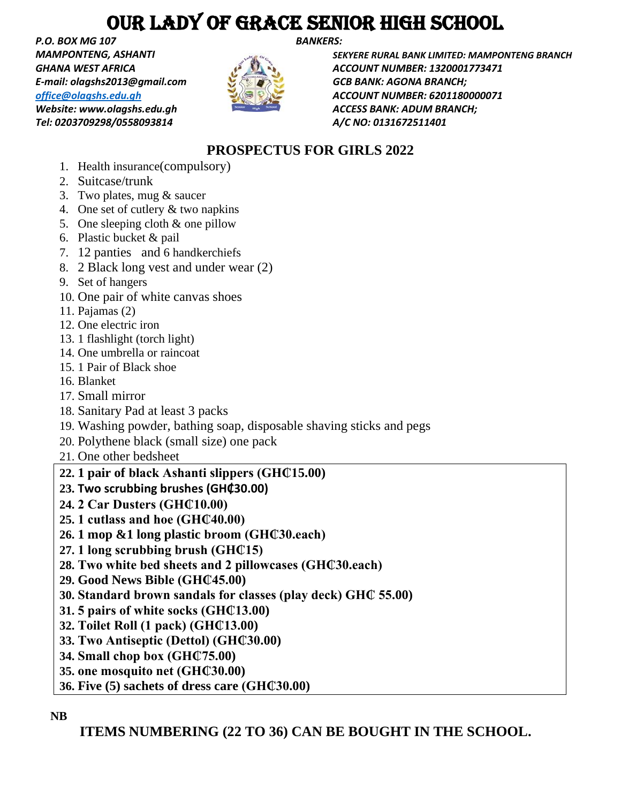## OUR LADY OF GRACE SENIOR HIGH SCHOOL

*P.O. BOX MG 107 BANKERS: E-mail: olagshs2013@gmail.com GCB BANK: AGONA BRANCH; Website: www.olagshs.edu.gh ACCESS BANK: ADUM BRANCH; Tel: 0203709298/0558093814 A/C NO: 0131672511401* 



*MAMPONTENG, ASHANTI SEKYERE RURAL BANK LIMITED: MAMPONTENG BRANCH GHANA WEST AFRICA ACCOUNT NUMBER: 1320001773471 [office@olagshs.edu.gh](mailto:office@olagshs.edu.gh) ACCOUNT NUMBER: 6201180000071* 

### **PROSPECTUS FOR GIRLS 2022**

- 1. Health insurance(compulsory)
- 2. Suitcase/trunk
- 3. Two plates, mug & saucer
- 4. One set of cutlery & two napkins
- 5. One sleeping cloth & one pillow
- 6. Plastic bucket & pail
- 7. 12 panties and 6 handkerchiefs
- 8. 2 Black long vest and under wear (2)
- 9. Set of hangers
- 10. One pair of white canvas shoes
- 11. Pajamas (2)
- 12. One electric iron
- 13. 1 flashlight (torch light)
- 14. One umbrella or raincoat
- 15. 1 Pair of Black shoe
- 16. Blanket
- 17. Small mirror
- 18. Sanitary Pad at least 3 packs
- 19. Washing powder, bathing soap, disposable shaving sticks and pegs
- 20. Polythene black (small size) one pack
- 21. One other bedsheet

### **22. 1 pair of black Ashanti slippers (GH₵15.00)**

- **23. Two scrubbing brushes (GH₵30.00)**
- **24. 2 Car Dusters (GH₵10.00)**
- **25. 1 cutlass and hoe (GH₵40.00)**
- **26. 1 mop &1 long plastic broom (GH₵30.each)**
- **27. 1 long scrubbing brush (GH₵15)**
- **28. Two white bed sheets and 2 pillowcases (GH₵30.each)**
- **29. Good News Bible (GH₵45.00)**
- **30. Standard brown sandals for classes (play deck) GH₵ 55.00)**
- **31. 5 pairs of white socks (GH₵13.00)**
- **32. Toilet Roll (1 pack) (GH₵13.00)**
- **33. Two Antiseptic (Dettol) (GH₵30.00)**
- **34. Small chop box (GH₵75.00)**
- **35. one mosquito net (GH₵30.00)**
- **36. Five (5) sachets of dress care (GH₵30.00)**

### **NB**

**ITEMS NUMBERING (22 TO 36) CAN BE BOUGHT IN THE SCHOOL.**